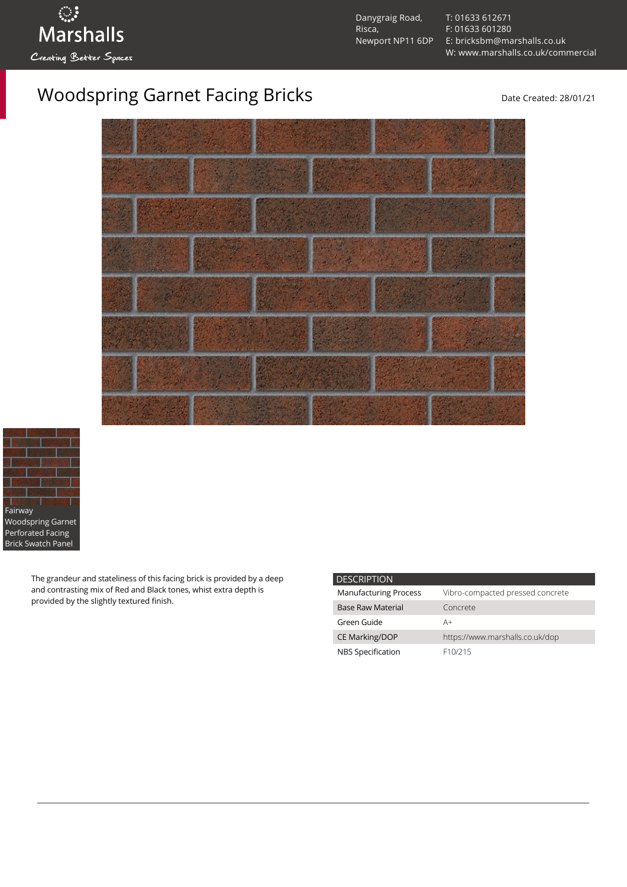Danygraig Road, Risca, Newport NP11 6DP [T: 01633 612671](tel:01633%20612671) [F: 01633 601280](tel:01633%20601280) [E: bricksbm@marshalls.co.uk](mailto:bricksbm@marshalls.co.uk) [W: www.marshalls.co.uk/commercial](https://www.marshalls.co.uk/commercial)

## Woodspring Garnet Facing Bricks Date Created: 28/01/21





The grandeur and stateliness of this facing brick is provided by a deep and contrasting mix of Red and Black tones, whist extra depth is provided by the slightly textured finish.

| <b>DESCRIPTION</b>           |                                  |
|------------------------------|----------------------------------|
| <b>Manufacturing Process</b> | Vibro-compacted pressed concrete |
| <b>Base Raw Material</b>     | Concrete                         |
| Green Guide                  | A+                               |
| <b>CE Marking/DOP</b>        | https://www.marshalls.co.uk/dop  |
| NBS Specification            | F <sub>10</sub> /215             |